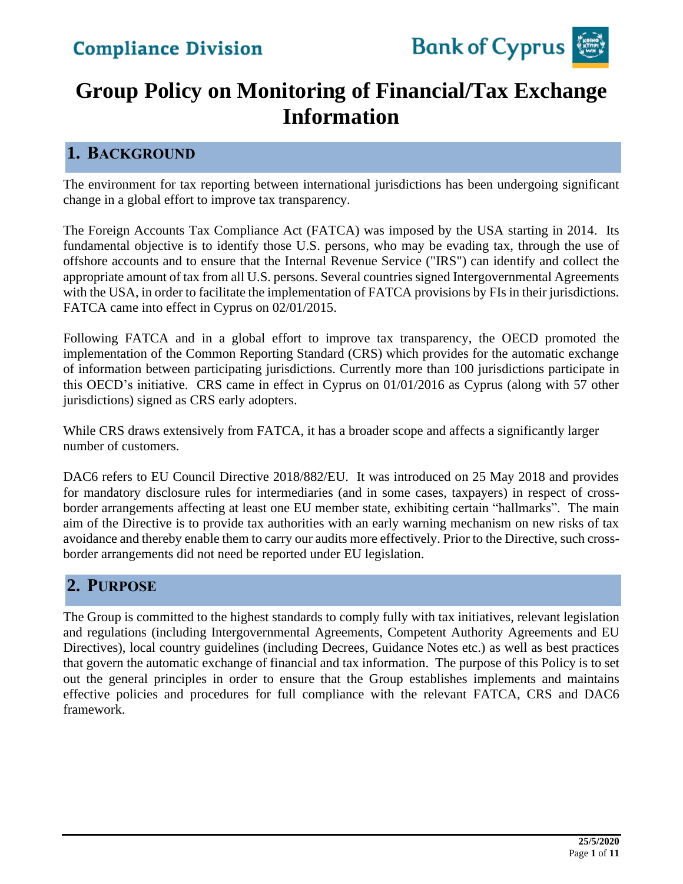

# **Group Policy on Monitoring of Financial/Tax Exchange Information**

### **1. BACKGROUND**

The environment for tax reporting between international jurisdictions has been undergoing significant change in a global effort to improve tax transparency.

The Foreign Accounts Tax Compliance Act (FATCA) was imposed by the USA starting in 2014. Its fundamental objective is to identify those U.S. persons, who may be evading tax, through the use of offshore accounts and to ensure that the Internal Revenue Service ("IRS") can identify and collect the appropriate amount of tax from all U.S. persons. Several countries signed Intergovernmental Agreements with the USA, in order to facilitate the implementation of FATCA provisions by FIs in their jurisdictions. FATCA came into effect in Cyprus on 02/01/2015.

Following FATCA and in a global effort to improve tax transparency, the OECD promoted the implementation of the Common Reporting Standard (CRS) which provides for the automatic exchange of information between participating jurisdictions. Currently more than 100 jurisdictions participate in this OECD's initiative. CRS came in effect in Cyprus on 01/01/2016 as Cyprus (along with 57 other jurisdictions) signed as CRS early adopters.

While CRS draws extensively from FATCA, it has a broader scope and affects a significantly larger number of customers.

DAC6 refers to EU Council Directive 2018/882/EU. It was introduced on 25 May 2018 and provides for mandatory disclosure rules for intermediaries (and in some cases, taxpayers) in respect of crossborder arrangements affecting at least one EU member state, exhibiting certain "hallmarks". The main aim of the Directive is to provide tax authorities with an early warning mechanism on new risks of tax avoidance and thereby enable them to carry our audits more effectively. Prior to the Directive, such crossborder arrangements did not need be reported under EU legislation.

### **2. PURPOSE**

The Group is committed to the highest standards to comply fully with tax initiatives, relevant legislation and regulations (including Intergovernmental Agreements, Competent Authority Agreements and EU Directives), local country guidelines (including Decrees, Guidance Notes etc.) as well as best practices that govern the automatic exchange of financial and tax information. The purpose of this Policy is to set out the general principles in order to ensure that the Group establishes implements and maintains effective policies and procedures for full compliance with the relevant FATCA, CRS and DAC6 framework.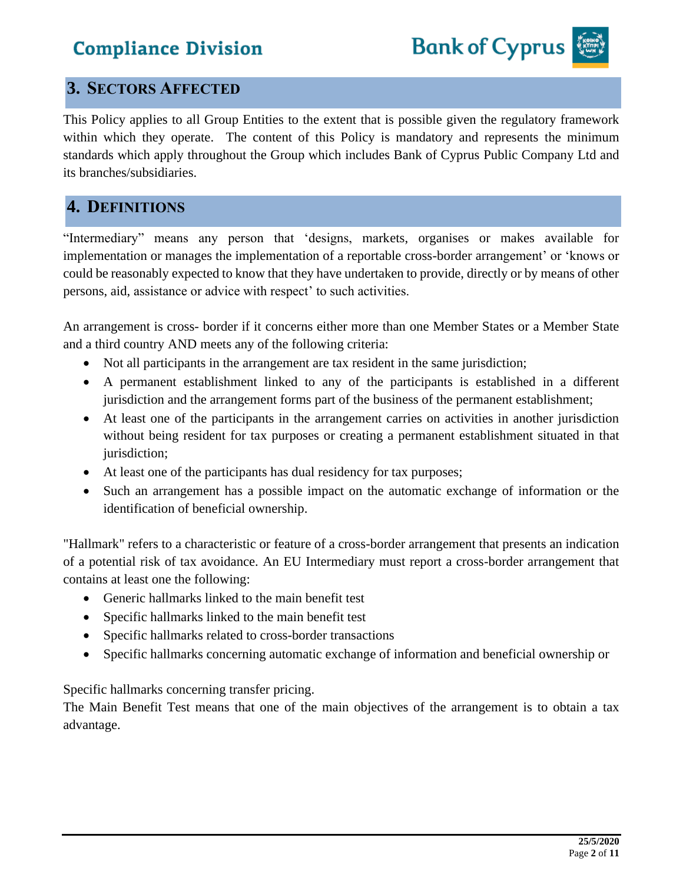### **3. SECTORS AFFECTED**

This Policy applies to all Group Entities to the extent that is possible given the regulatory framework within which they operate. The content of this Policy is mandatory and represents the minimum standards which apply throughout the Group which includes Bank of Cyprus Public Company Ltd and its branches/subsidiaries.

### **4. DEFINITIONS**

"Intermediary" means any person that 'designs, markets, organises or makes available for implementation or manages the implementation of a reportable cross-border arrangement' or 'knows or could be reasonably expected to know that they have undertaken to provide, directly or by means of other persons, aid, assistance or advice with respect' to such activities.

An arrangement is cross- border if it concerns either more than one Member States or a Member State and a third country AND meets any of the following criteria:

- Not all participants in the arrangement are tax resident in the same jurisdiction;
- A permanent establishment linked to any of the participants is established in a different jurisdiction and the arrangement forms part of the business of the permanent establishment;
- At least one of the participants in the arrangement carries on activities in another jurisdiction without being resident for tax purposes or creating a permanent establishment situated in that jurisdiction;
- At least one of the participants has dual residency for tax purposes;
- Such an arrangement has a possible impact on the automatic exchange of information or the identification of beneficial ownership.

"Hallmark" refers to a characteristic or feature of a cross-border arrangement that presents an indication of a potential risk of tax avoidance. An EU Intermediary must report a cross-border arrangement that contains at least one the following:

- Generic hallmarks linked to the main benefit test
- Specific hallmarks linked to the main benefit test
- Specific hallmarks related to cross-border transactions
- Specific hallmarks concerning automatic exchange of information and beneficial ownership or

Specific hallmarks concerning transfer pricing.

The Main Benefit Test means that one of the main objectives of the arrangement is to obtain a tax advantage.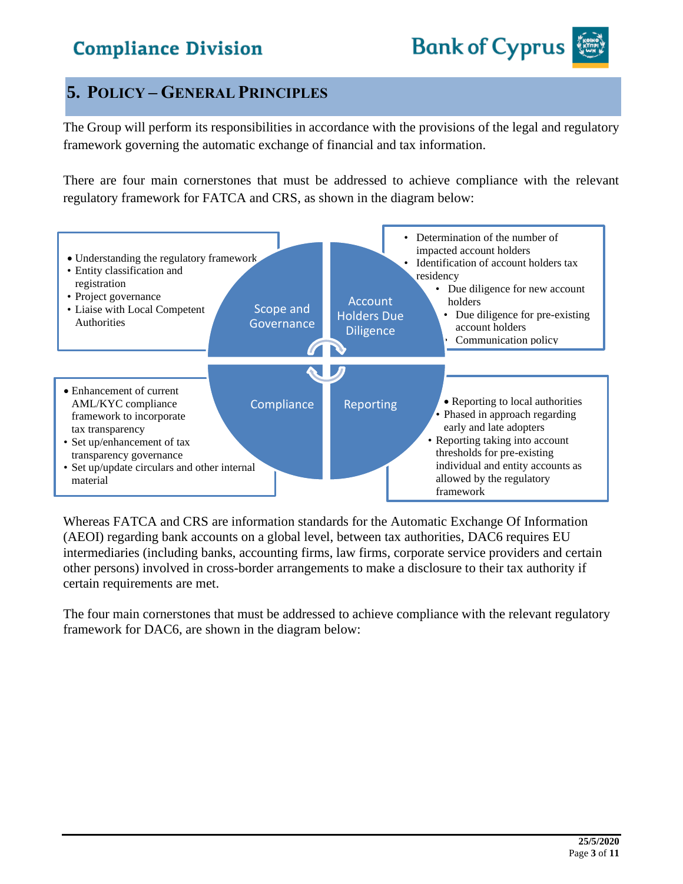### **5. POLICY – GENERAL PRINCIPLES**

The Group will perform its responsibilities in accordance with the provisions of the legal and regulatory framework governing the automatic exchange of financial and tax information.

There are four main cornerstones that must be addressed to achieve compliance with the relevant regulatory framework for FATCA and CRS, as shown in the diagram below:



Whereas FATCA and CRS are information standards for the Automatic Exchange Of Information (AEOI) regarding bank accounts on a global level, between tax authorities, DAC6 requires EU intermediaries (including banks, accounting firms, law firms, corporate service providers and certain other persons) involved in cross-border arrangements to make a disclosure to their tax authority if certain requirements are met.

The four main cornerstones that must be addressed to achieve compliance with the relevant regulatory framework for DAC6, are shown in the diagram below: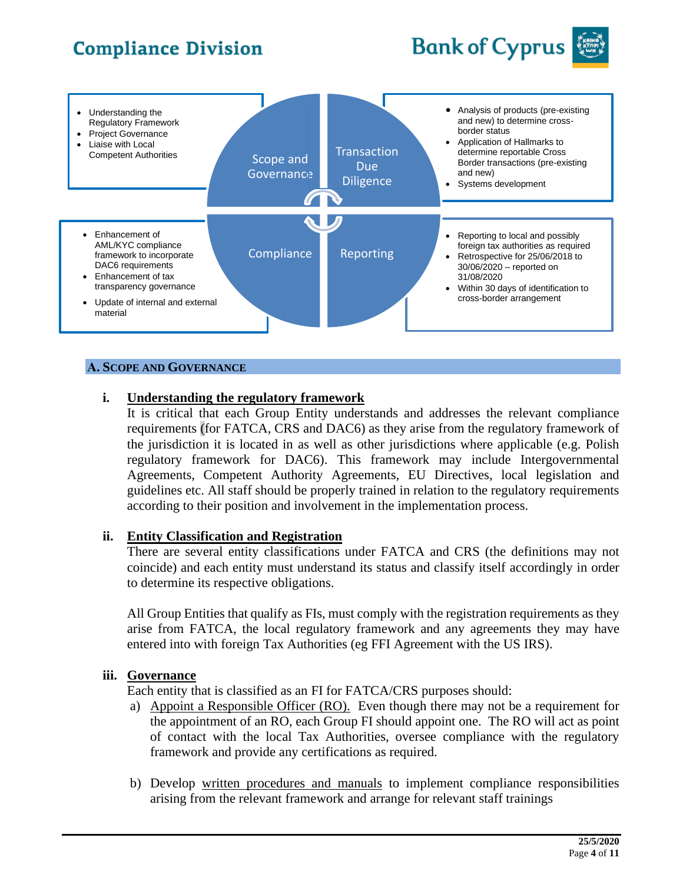# **Bank of Cyprus**





#### **Α. SCOPE AND GOVERNANCE**

#### **i. Understanding the regulatory framework**

It is critical that each Group Entity understands and addresses the relevant compliance requirements (for FATCA, CRS and DAC6) as they arise from the regulatory framework of the jurisdiction it is located in as well as other jurisdictions where applicable (e.g. Polish regulatory framework for DAC6). This framework may include Intergovernmental Agreements, Competent Authority Agreements, EU Directives, local legislation and guidelines etc. All staff should be properly trained in relation to the regulatory requirements according to their position and involvement in the implementation process.

#### **ii. Entity Classification and Registration**

There are several entity classifications under FATCA and CRS (the definitions may not coincide) and each entity must understand its status and classify itself accordingly in order to determine its respective obligations.

All Group Entities that qualify as FIs, must comply with the registration requirements as they arise from FATCA, the local regulatory framework and any agreements they may have entered into with foreign Tax Authorities (eg FFI Agreement with the US IRS).

#### **iii. Governance**

Each entity that is classified as an FI for FATCA/CRS purposes should:

- a) Appoint a Responsible Officer (RO). Even though there may not be a requirement for the appointment of an RO, each Group FI should appoint one. The RO will act as point of contact with the local Tax Authorities, oversee compliance with the regulatory framework and provide any certifications as required.
- b) Develop written procedures and manuals to implement compliance responsibilities arising from the relevant framework and arrange for relevant staff trainings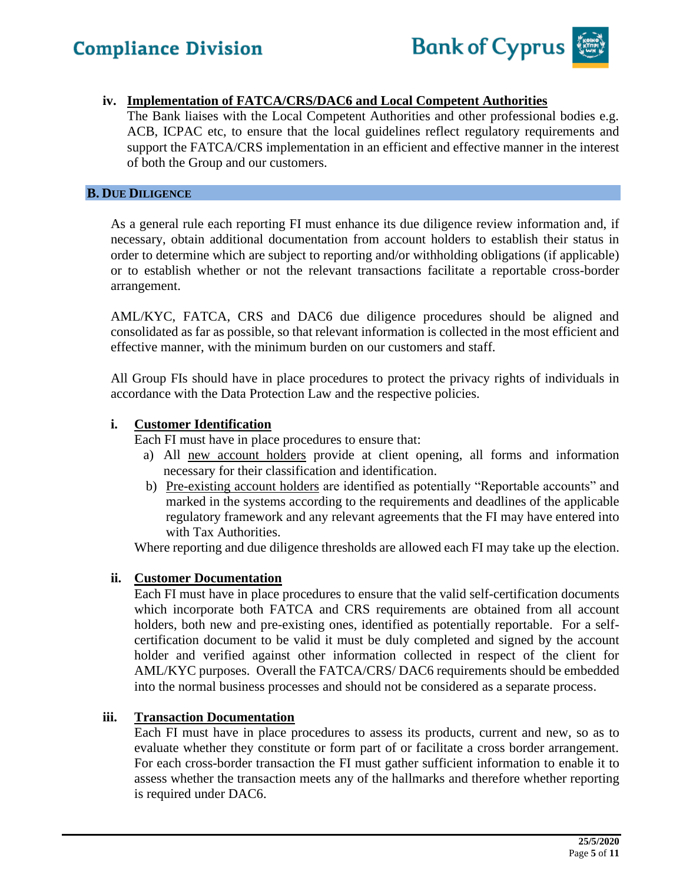

#### **iv. Implementation of FATCA/CRS/DAC6 and Local Competent Authorities**

The Bank liaises with the Local Competent Authorities and other professional bodies e.g. ACB, ICPAC etc, to ensure that the local guidelines reflect regulatory requirements and support the FATCA/CRS implementation in an efficient and effective manner in the interest of both the Group and our customers.

#### **B. DUE DILIGENCE**

As a general rule each reporting FI must enhance its due diligence review information and, if necessary, obtain additional documentation from account holders to establish their status in order to determine which are subject to reporting and/or withholding obligations (if applicable) or to establish whether or not the relevant transactions facilitate a reportable cross-border arrangement.

AML/KYC, FATCA, CRS and DAC6 due diligence procedures should be aligned and consolidated as far as possible, so that relevant information is collected in the most efficient and effective manner, with the minimum burden on our customers and staff.

All Group FIs should have in place procedures to protect the privacy rights of individuals in accordance with the Data Protection Law and the respective policies.

#### **i. Customer Identification**

Each FI must have in place procedures to ensure that:

- a) All new account holders provide at client opening, all forms and information necessary for their classification and identification.
- b) Pre-existing account holders are identified as potentially "Reportable accounts" and marked in the systems according to the requirements and deadlines of the applicable regulatory framework and any relevant agreements that the FI may have entered into with Tax Authorities.

Where reporting and due diligence thresholds are allowed each FI may take up the election.

#### **ii. Customer Documentation**

Each FI must have in place procedures to ensure that the valid self-certification documents which incorporate both FATCA and CRS requirements are obtained from all account holders, both new and pre-existing ones, identified as potentially reportable. For a selfcertification document to be valid it must be duly completed and signed by the account holder and verified against other information collected in respect of the client for AML/KYC purposes. Overall the FATCA/CRS/ DAC6 requirements should be embedded into the normal business processes and should not be considered as a separate process.

#### **iii. Transaction Documentation**

Each FI must have in place procedures to assess its products, current and new, so as to evaluate whether they constitute or form part of or facilitate a cross border arrangement. For each cross-border transaction the FI must gather sufficient information to enable it to assess whether the transaction meets any of the hallmarks and therefore whether reporting is required under DAC6.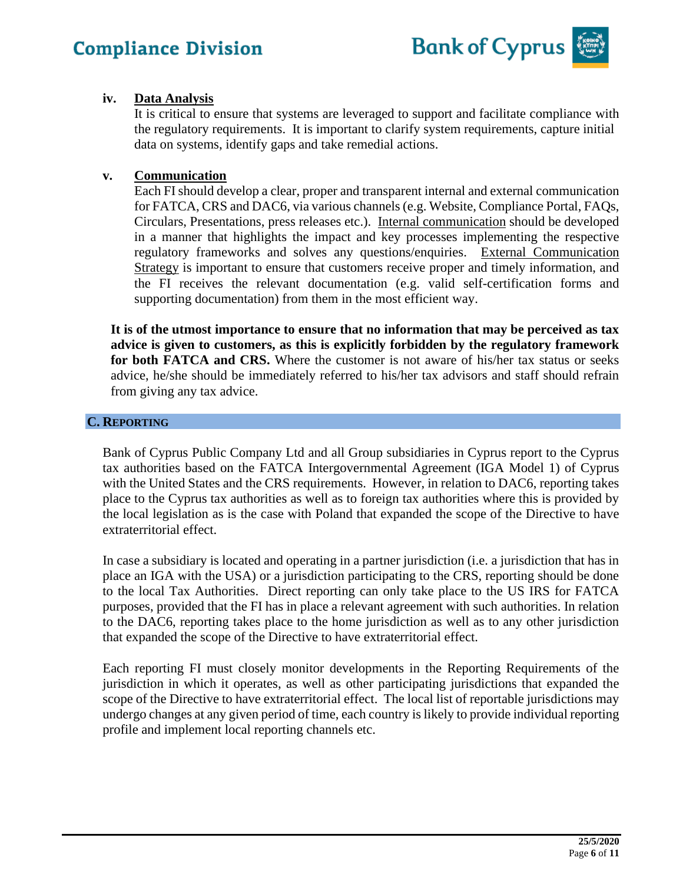

#### **iv. Data Analysis**

It is critical to ensure that systems are leveraged to support and facilitate compliance with the regulatory requirements. It is important to clarify system requirements, capture initial data on systems, identify gaps and take remedial actions.

#### **v. Communication**

Each FI should develop a clear, proper and transparent internal and external communication for FATCA, CRS and DAC6, via various channels (e.g. Website, Compliance Portal, FAQs, Circulars, Presentations, press releases etc.). Internal communication should be developed in a manner that highlights the impact and key processes implementing the respective regulatory frameworks and solves any questions/enquiries. External Communication Strategy is important to ensure that customers receive proper and timely information, and the FI receives the relevant documentation (e.g. valid self-certification forms and supporting documentation) from them in the most efficient way.

**It is of the utmost importance to ensure that no information that may be perceived as tax advice is given to customers, as this is explicitly forbidden by the regulatory framework for both FATCA and CRS.** Where the customer is not aware of his/her tax status or seeks advice, he/she should be immediately referred to his/her tax advisors and staff should refrain from giving any tax advice.

#### **C. REPORTING**

Bank of Cyprus Public Company Ltd and all Group subsidiaries in Cyprus report to the Cyprus tax authorities based on the FATCA Intergovernmental Agreement (IGA Model 1) of Cyprus with the United States and the CRS requirements. However, in relation to DAC6, reporting takes place to the Cyprus tax authorities as well as to foreign tax authorities where this is provided by the local legislation as is the case with Poland that expanded the scope of the Directive to have extraterritorial effect.

In case a subsidiary is located and operating in a partner jurisdiction (i.e. a jurisdiction that has in place an IGA with the USA) or a jurisdiction participating to the CRS, reporting should be done to the local Tax Authorities. Direct reporting can only take place to the US IRS for FATCA purposes, provided that the FI has in place a relevant agreement with such authorities. In relation to the DAC6, reporting takes place to the home jurisdiction as well as to any other jurisdiction that expanded the scope of the Directive to have extraterritorial effect.

Each reporting FI must closely monitor developments in the Reporting Requirements of the jurisdiction in which it operates, as well as other participating jurisdictions that expanded the scope of the Directive to have extraterritorial effect. The local list of reportable jurisdictions may undergo changes at any given period of time, each country is likely to provide individual reporting profile and implement local reporting channels etc.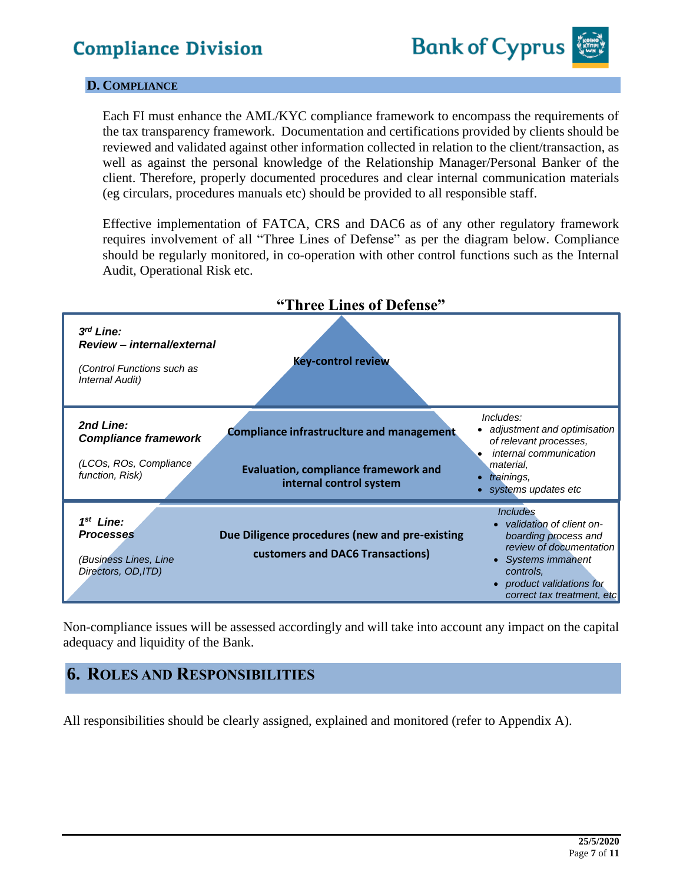

#### **D. COMPLIANCE**

Each FI must enhance the AML/KYC compliance framework to encompass the requirements of the tax transparency framework. Documentation and certifications provided by clients should be reviewed and validated against other information collected in relation to the client/transaction, as well as against the personal knowledge of the Relationship Manager/Personal Banker of the client. Therefore, properly documented procedures and clear internal communication materials (eg circulars, procedures manuals etc) should be provided to all responsible staff.

Effective implementation of FATCA, CRS and DAC6 as of any other regulatory framework requires involvement of all "Three Lines of Defense" as per the diagram below. Compliance should be regularly monitored, in co-operation with other control functions such as the Internal Audit, Operational Risk etc.



Non-compliance issues will be assessed accordingly and will take into account any impact on the capital adequacy and liquidity of the Bank.

### **6. ROLES AND RESPONSIBILITIES**

All responsibilities should be clearly assigned, explained and monitored (refer to Appendix A).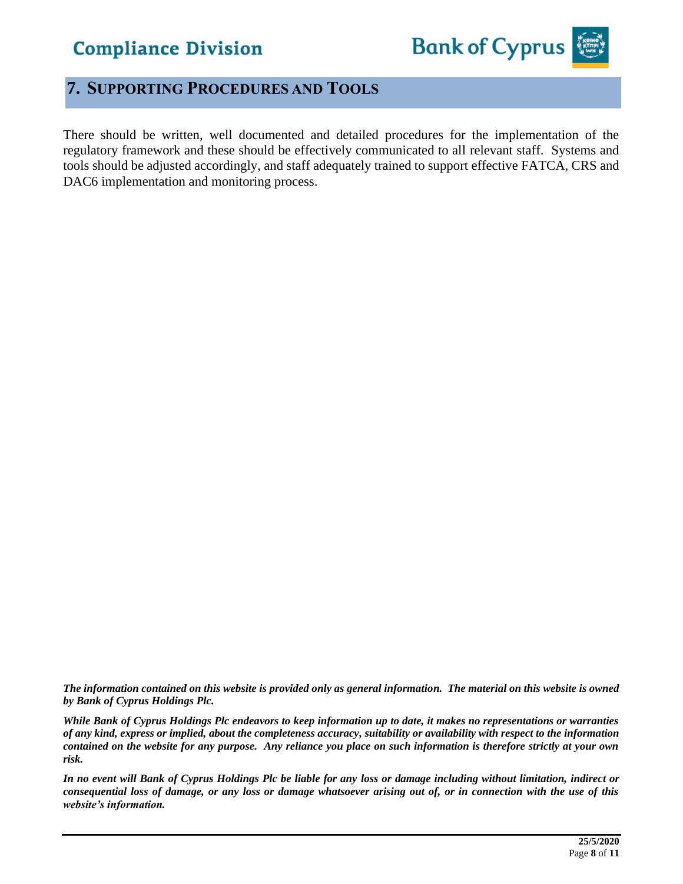

### **7. SUPPORTING PROCEDURES AND TOOLS**

There should be written, well documented and detailed procedures for the implementation of the regulatory framework and these should be effectively communicated to all relevant staff. Systems and tools should be adjusted accordingly, and staff adequately trained to support effective FATCA, CRS and DAC6 implementation and monitoring process.

*The information contained on this website is provided only as general information. The material on this website is owned by Bank of Cyprus Holdings Plc.*

*While Bank of Cyprus Holdings Plc endeavors to keep information up to date, it makes no representations or warranties of any kind, express or implied, about the completeness accuracy, suitability or availability with respect to the information contained on the website for any purpose. Any reliance you place on such information is therefore strictly at your own risk.* 

*In no event will Bank of Cyprus Holdings Plc be liable for any loss or damage including without limitation, indirect or consequential loss of damage, or any loss or damage whatsoever arising out of, or in connection with the use of this website's information.*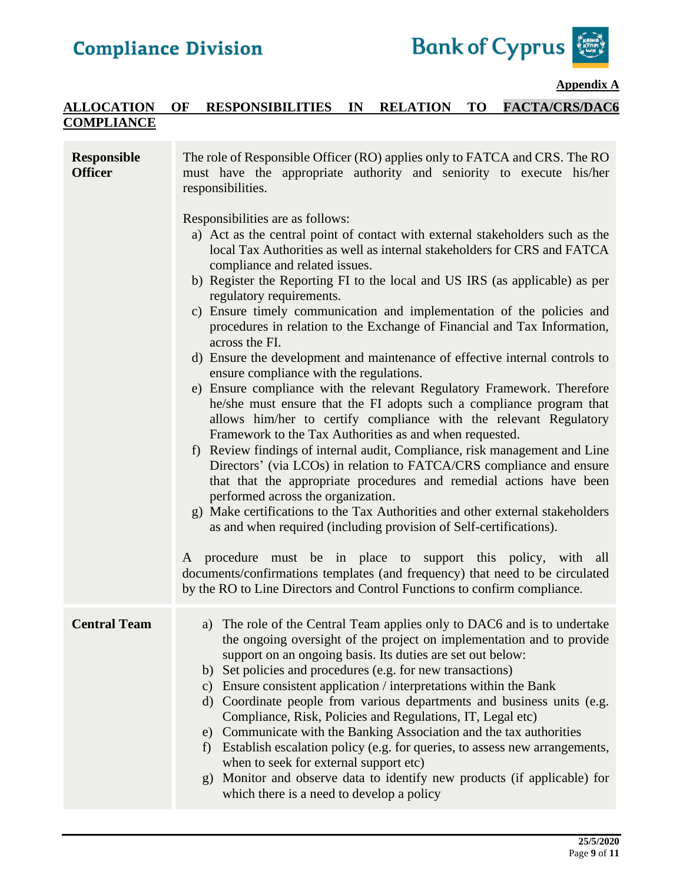

#### **Appendix A**

#### **ALLOCATION OF RESPONSIBILITIES IN RELATION TO FACTA/CRS/DAC6 COMPLIANCE**

| <b>Responsible</b><br><b>Officer</b> | The role of Responsible Officer (RO) applies only to FATCA and CRS. The RO<br>must have the appropriate authority and seniority to execute his/her<br>responsibilities.<br>Responsibilities are as follows:<br>a) Act as the central point of contact with external stakeholders such as the<br>local Tax Authorities as well as internal stakeholders for CRS and FATCA<br>compliance and related issues.<br>b) Register the Reporting FI to the local and US IRS (as applicable) as per<br>regulatory requirements.<br>c) Ensure timely communication and implementation of the policies and<br>procedures in relation to the Exchange of Financial and Tax Information,<br>across the FI.<br>d) Ensure the development and maintenance of effective internal controls to<br>ensure compliance with the regulations.<br>e) Ensure compliance with the relevant Regulatory Framework. Therefore<br>he/she must ensure that the FI adopts such a compliance program that<br>allows him/her to certify compliance with the relevant Regulatory<br>Framework to the Tax Authorities as and when requested.<br>f) Review findings of internal audit, Compliance, risk management and Line<br>Directors' (via LCOs) in relation to FATCA/CRS compliance and ensure<br>that that the appropriate procedures and remedial actions have been<br>performed across the organization.<br>g) Make certifications to the Tax Authorities and other external stakeholders<br>as and when required (including provision of Self-certifications).<br>A procedure must be in place to support this policy, with all |
|--------------------------------------|-----------------------------------------------------------------------------------------------------------------------------------------------------------------------------------------------------------------------------------------------------------------------------------------------------------------------------------------------------------------------------------------------------------------------------------------------------------------------------------------------------------------------------------------------------------------------------------------------------------------------------------------------------------------------------------------------------------------------------------------------------------------------------------------------------------------------------------------------------------------------------------------------------------------------------------------------------------------------------------------------------------------------------------------------------------------------------------------------------------------------------------------------------------------------------------------------------------------------------------------------------------------------------------------------------------------------------------------------------------------------------------------------------------------------------------------------------------------------------------------------------------------------------------------------------------------------------------------------------|
|                                      | documents/confirmations templates (and frequency) that need to be circulated<br>by the RO to Line Directors and Control Functions to confirm compliance.                                                                                                                                                                                                                                                                                                                                                                                                                                                                                                                                                                                                                                                                                                                                                                                                                                                                                                                                                                                                                                                                                                                                                                                                                                                                                                                                                                                                                                            |
| <b>Central Team</b>                  | a) The role of the Central Team applies only to DAC6 and is to undertake<br>the ongoing oversight of the project on implementation and to provide<br>support on an ongoing basis. Its duties are set out below:<br>b) Set policies and procedures (e.g. for new transactions)<br>c) Ensure consistent application / interpretations within the Bank<br>d) Coordinate people from various departments and business units (e.g.<br>Compliance, Risk, Policies and Regulations, IT, Legal etc)<br>e) Communicate with the Banking Association and the tax authorities<br>Establish escalation policy (e.g. for queries, to assess new arrangements,<br>f)<br>when to seek for external support etc)<br>g) Monitor and observe data to identify new products (if applicable) for<br>which there is a need to develop a policy                                                                                                                                                                                                                                                                                                                                                                                                                                                                                                                                                                                                                                                                                                                                                                           |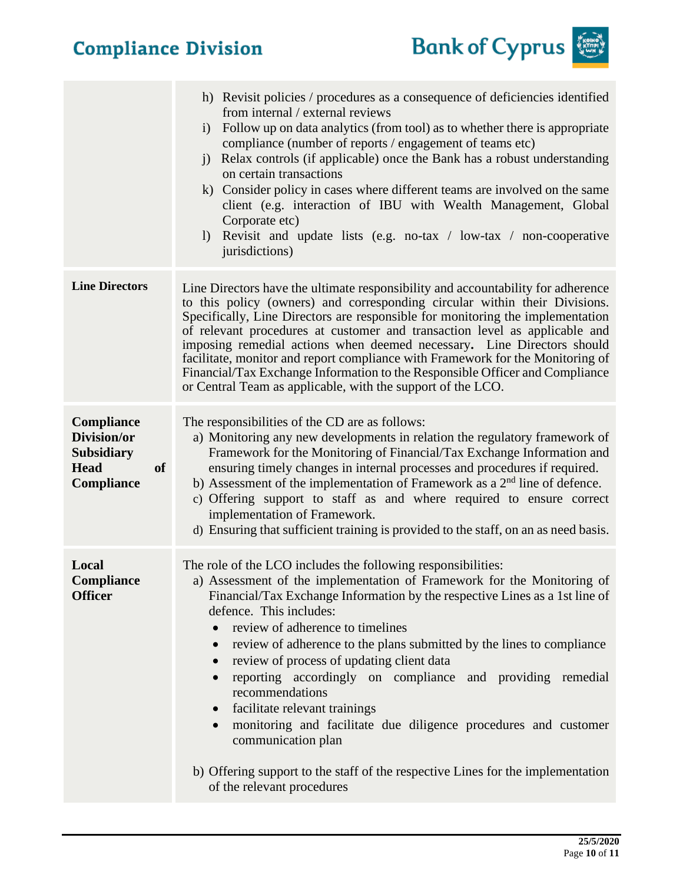

|                                                                                                 | h) Revisit policies / procedures as a consequence of deficiencies identified<br>from internal / external reviews<br>Follow up on data analytics (from tool) as to whether there is appropriate<br>i)<br>compliance (number of reports / engagement of teams etc)<br>Relax controls (if applicable) once the Bank has a robust understanding<br>$\ddot{1}$<br>on certain transactions<br>k) Consider policy in cases where different teams are involved on the same<br>client (e.g. interaction of IBU with Wealth Management, Global<br>Corporate etc)<br>1) Revisit and update lists (e.g. no-tax / low-tax / non-cooperative<br>jurisdictions)                                                                                                                                           |
|-------------------------------------------------------------------------------------------------|--------------------------------------------------------------------------------------------------------------------------------------------------------------------------------------------------------------------------------------------------------------------------------------------------------------------------------------------------------------------------------------------------------------------------------------------------------------------------------------------------------------------------------------------------------------------------------------------------------------------------------------------------------------------------------------------------------------------------------------------------------------------------------------------|
| <b>Line Directors</b>                                                                           | Line Directors have the ultimate responsibility and accountability for adherence<br>to this policy (owners) and corresponding circular within their Divisions.<br>Specifically, Line Directors are responsible for monitoring the implementation<br>of relevant procedures at customer and transaction level as applicable and<br>imposing remedial actions when deemed necessary. Line Directors should<br>facilitate, monitor and report compliance with Framework for the Monitoring of<br>Financial/Tax Exchange Information to the Responsible Officer and Compliance<br>or Central Team as applicable, with the support of the LCO.                                                                                                                                                  |
| <b>Compliance</b><br>Division/or<br><b>Subsidiary</b><br><b>of</b><br><b>Head</b><br>Compliance | The responsibilities of the CD are as follows:<br>a) Monitoring any new developments in relation the regulatory framework of<br>Framework for the Monitoring of Financial/Tax Exchange Information and<br>ensuring timely changes in internal processes and procedures if required.<br>b) Assessment of the implementation of Framework as a $2nd$ line of defence.<br>c) Offering support to staff as and where required to ensure correct<br>implementation of Framework.<br>d) Ensuring that sufficient training is provided to the staff, on an as need basis.                                                                                                                                                                                                                         |
| Local<br>Compliance<br><b>Officer</b>                                                           | The role of the LCO includes the following responsibilities:<br>a) Assessment of the implementation of Framework for the Monitoring of<br>Financial/Tax Exchange Information by the respective Lines as a 1st line of<br>defence. This includes:<br>review of adherence to timelines<br>review of adherence to the plans submitted by the lines to compliance<br>$\bullet$<br>review of process of updating client data<br>reporting accordingly on compliance and providing remedial<br>$\bullet$<br>recommendations<br>facilitate relevant trainings<br>$\bullet$<br>monitoring and facilitate due diligence procedures and customer<br>$\bullet$<br>communication plan<br>b) Offering support to the staff of the respective Lines for the implementation<br>of the relevant procedures |